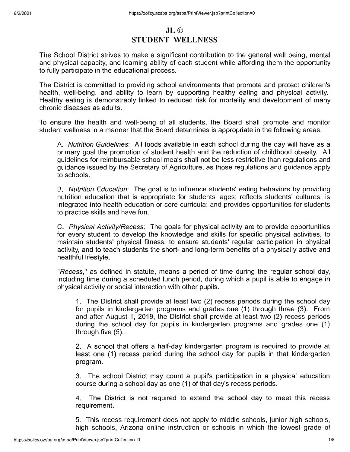# **JL© STUDENT WELLNESS**

The School District strives to make a significant contribution to the general well being, mental and physical capacity, and learning ability of each student while affording them the opportunity to fully participate in the educational process.

The District is committed to providing school environments that promote and protect children's health, well-being, and ability to learn by supporting healthy eating and physical activity. Healthy eating is demonstrably linked to reduced risk for mortality and development of many chronic diseases as adults.

To ensure the health and well-being of all students, the Board shall promote and monitor student wellness in a manner that the Board determines is appropriate in the following areas:

A. *Nutrition Guidelines'.* All foods available in each school during the day will have as a primary goal the promotion of student health and the reduction of childhood obesity. All guidelines for reimbursable school meals shall not be less restrictive than regulations and guidance issued by the Secretary of Agriculture, as those regulations and guidance apply to schools.

B. *Nutrition Education:* The goal is to influence students' eating behaviors by providing nutrition education that is appropriate for students' ages; reflects students' cultures; is integrated into health education or core curricula; and provides opportunities for students to practice skills and have fun.

C. *Physical Activity/Recess:* The goals for physical activity are to provide opportunities for every student to develop the knowledge and skills for specific physical activities, to maintain students' physical fitness, to ensure students' regular participation in physical activity, and to teach students the short- and long-term benefits of a physically active and healthful lifestyle.

*"Recess,"* as defined in statute, means a period of time during the regular school day, including time during a scheduled lunch period, during which a pupil is able to engage in physical activity or social interaction with other pupils.

1. The District shall provide at least two (2) recess periods during the school day for pupils in kindergarten programs and grades one (1) through three (3). From and after August 1, 2019, the District shall provide at least two (2) recess periods during the school day for pupils in kindergarten programs and grades one (1) through five (5).

2. A school that offers a half-day kindergarten program is required to provide at least one (1) recess period during the school day for pupils in that kindergarten program.

3. The school District may count a pupil's participation in a physical education course during a school day as one (1) of that day's recess periods.

4. The District is not required to extend the school day to meet this recess requirement.

5. This recess requirement does not apply to middle schools, junior high schools, high schools, Arizona online instruction or schools in which the lowest grade of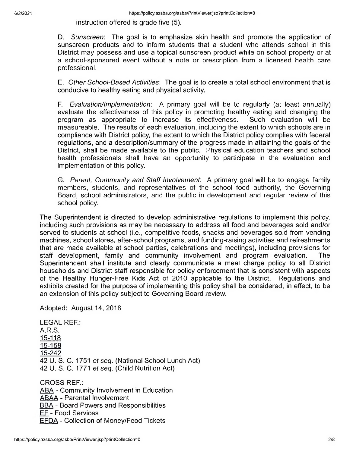instruction offered is grade five (5).

D. *Sunscreen:* The goal is to emphasize skin health and promote the application of sunscreen products and to inform students that a student who attends school in this District may possess and use a topical sunscreen product while on school property or at a school-sponsored event without a note or prescription from a licensed health care professional.

E. *Other School-Based Activities:* The goal is to create a total school environment that is conducive to healthy eating and physical activity.

F. *Evaluation/lmplementation:* A primary goal will be to regularly (at least annually) evaluate the effectiveness of this policy in promoting healthy eating and changing the program as appropriate to increase its effectiveness. Such evaluation will be measureable. The results of each evaluation, including the extent to which schools are in compliance with District policy, the extent to which the District policy complies with federal regulations, and a description/summary of the progress made in attaining the goals of the District, shall be made available to the public. Physical education teachers and school health professionals shall have an opportunity to participate in the evaluation and implementation of this policy.

G. *Parent, Community and Staff Involvement:* A primary goal will be to engage family members, students, and representatives of the school food authority, the Governing Board, school administrators, and the public in development and regular review of this school policy.

The Superintendent is directed to develop administrative regulations to implement this policy, including such provisions as may be necessary to address all food and beverages sold and/or served to students at school (i.e., competitive foods, snacks and beverages sold from vending machines, school stores, after-school programs, and funding-raising activities and refreshments that are made available at school parties, celebrations and meetings), including provisions for staff development, family and community involvement and program evaluation. The Superintendent shall institute and clearly communicate a meal charge policy to all District households and District staff responsible for policy enforcement that is consistent with aspects of the Healthy Hunger-Free Kids Act of 2010 applicable to the District. Regulations and exhibits created for the purpose of implementing this policy shall be considered, in effect, to be an extension of this policy subject to Governing Board review.

Adopted: August 14, 2018

LEGAL REF.: A.R.S. **15-118** 15-158 15-242 42 U. S. C. 1751 *et seq.* (National School Lunch Act) 42 U. S. C. 1771 *et seq.* (Child Nutrition Act) CROSS REF.: ABA - Community Involvement in Education ABAA - Parental Involvement **BBA** - Board Powers and Responsibilities EF - Food Services **EFDA** - Collection of Money/Food Tickets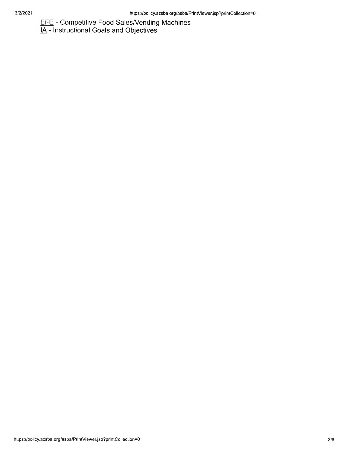EFE - Competitive Food Sales/Vending Machines

**IA** - Instructional Goals and Objectives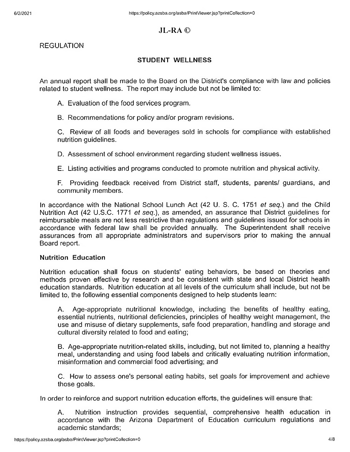# **JL-RA©**

REGULATION

# **STUDENT WELLNESS**

An annual report shall be made to the Board on the District's compliance with law and policies related to student wellness. The report may include but not be limited to:

A. Evaluation of the food services program.

B. Recommendations for policy and/or program revisions.

C. Review of all foods and beverages sold in schools for compliance with established nutrition guidelines.

D. Assessment of school environment regarding student wellness issues.

E. Listing activities and programs conducted to promote nutrition and physical activity.

F. Providing feedback received from District staff, students, parents/ guardians, and community members.

In accordance with the National School Lunch Act (42 U. S. C. 1751 *et seq.)* and the Child Nutrition Act (42 U.S.C. 1771 *et seq.),* as amended, an assurance that District guidelines for reimbursable meals are not less restrictive than regulations and guidelines issued for schools in accordance with federal law shall be provided annually. The Superintendent shall receive assurances from all appropriate administrators and supervisors prior to making the annual Board report.

### **Nutrition Education**

Nutrition education shall focus on students' eating behaviors, be based on theories and methods proven effective by research and be consistent with state and local District health education standards. Nutrition education at all levels of the curriculum shall include, but not be limited to, the following essential components designed to help students learn:

A. Age-appropriate nutritional knowledge, including the benefits of healthy eating, essential nutrients, nutritional deficiencies, principles of healthy weight management, the use and misuse of dietary supplements, safe food preparation, handling and storage and cultural diversity related to food and eating;

B. Age-appropriate nutrition-related skills, including, but not limited to, planning a healthy meal, understanding and using food labels and critically evaluating nutrition information, misinformation and commercial food advertising; and

C. How to assess one's personal eating habits, set goals for improvement and achieve those goals.

In order to reinforce and support nutrition education efforts, the guidelines will ensure that:

A. Nutrition instruction provides sequential, comprehensive health education in accordance with the Arizona Department of Education curriculum regulations and academic standards;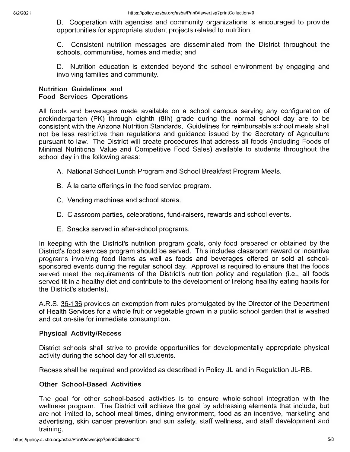B. Cooperation with agencies and community organizations is encouraged to provide opportunities for appropriate student projects related to nutrition;

C. Consistent nutrition messages are disseminated from the District throughout the schools, communities, homes and media; and

D. Nutrition education is extended beyond the school environment by engaging and involving families and community.

### **Nutrition Guidelines and Food Services Operations**

All foods and beverages made available on a school campus serving any configuration of prekindergarten (PK) through eighth (8th) grade during the normal school day are to be consistent with the Arizona Nutrition Standards. Guidelines for reimbursable school meals shall not be less restrictive than regulations and guidance issued by the Secretary of Agriculture pursuant to law. The District will create procedures that address all foods (including Foods of Minimal Nutritional Value and Competitive Food Sales) available to students throughout the school day in the following areas:

- A. National School Lunch Program and School Breakfast Program Meals.
- B. A la carte offerings in the food service program.
- C. Vending machines and school stores.
- D. Classroom parties, celebrations, fund-raisers, rewards and school events.
- E. Snacks served in after-school programs.

In keeping with the District's nutrition program goals, only food prepared or obtained by the District's food services program should be served. This includes classroom reward or incentive programs involving food items as well as foods and beverages offered or sold at schoolsponsored events during the regular school day. Approval is required to ensure that the foods served meet the requirements of the District's nutrition policy and regulation (i.e., all foods served fit in a healthy diet and contribute to the development of lifelong healthy eating habits for the District's students).

A.R.S. 36-136 provides an exemption from rules promulgated by the Director of the Department of Health Services for a whole fruit or vegetable grown in a public school garden that is washed and cut on-site for immediate consumption.

## **Physical Activity/Recess**

District schools shall strive to provide opportunities for developmentally appropriate physical activity during the school day for all students.

Recess shall be required and provided as described in Policy JL and in Regulation JL-RB.

#### **Other School-Based Activities**

The goal for other school-based activities is to ensure whole-school integration with the wellness program. The District will achieve the goal by addressing elements that include, but are not limited to, school meal times, dining environment, food as an incentive, marketing and advertising, skin cancer prevention and sun safety, staff wellness, and staff development and training.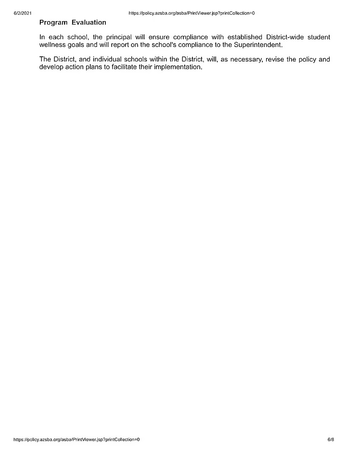## **Program Evaluation**

In each school, the principal will ensure compliance with established District-wide student wellness goals and will report on the school's compliance to the Superintendent.

The District, and individual schools within the District, will, as necessary, revise the policy and develop action plans to facilitate their implementation.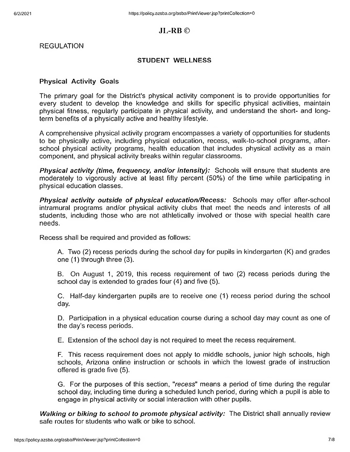# **JL-RB ©**

REGULATION

#### **STUDENT WELLNESS**

#### **Physical Activity Goals**

The primary goal for the District's physical activity component is to provide opportunities for every student to develop the knowledge and skills for specific physical activities, maintain physical fitness, regularly participate in physical activity, and understand the short- and longterm benefits of a physically active and healthy lifestyle.

A comprehensive physical activity program encompasses a variety of opportunities for students to be physically active, including physical education, recess, walk-to-school programs, afterschool physical activity programs, health education that includes physical activity as a main component, and physical activity breaks within regular classrooms.

*Physical activity (time, frequency, and/or intensity):* Schools will ensure that students are moderately to vigorously active at least fifty percent (50%) of the time while participating in physical education classes.

*Physical activity outside of physical education/Recess:* Schools may offer after-school intramural programs and/or physical activity clubs that meet the needs and interests of all students, including those who are not athletically involved or those with special health care needs.

Recess shall be required and provided as follows:

A. Two (2) recess periods during the school day for pupils in kindergarten (K) and grades one (1) through three (3).

B. On August 1, 2019, this recess requirement of two (2) recess periods during the school day is extended to grades four (4) and five (5).

C. Half-day kindergarten pupils are to receive one (1) recess period during the school day.

D. Participation in a physical education course during a school day may count as one of the day's recess periods.

E. Extension of the school day is not required to meet the recess requirement.

F. This recess requirement does not apply to middle schools, junior high schools, high schools, Arizona online instruction or schools in which the lowest grade of instruction offered is grade five (5).

G. For the purposes of this section, *"recess"* means a period of time during the regular school day, including time during a scheduled lunch period, during which a pupil is able to engage in physical activity or social interaction with other pupils.

*Walking or biking to school to promote physical activity:* The District shall annually review safe routes for students who walk or bike to school.